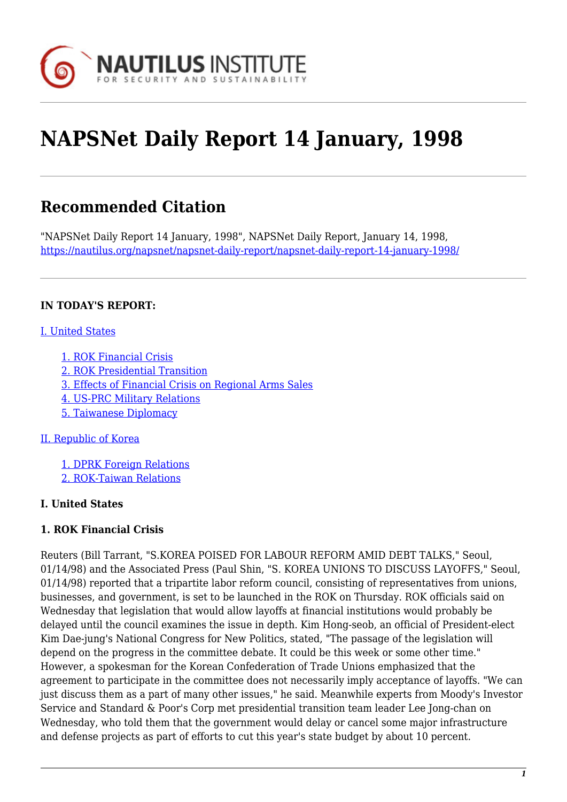

# **NAPSNet Daily Report 14 January, 1998**

# **Recommended Citation**

"NAPSNet Daily Report 14 January, 1998", NAPSNet Daily Report, January 14, 1998, <https://nautilus.org/napsnet/napsnet-daily-report/napsnet-daily-report-14-january-1998/>

#### **IN TODAY'S REPORT:**

#### [I. United States](#page-0-0)

- [1. ROK Financial Crisis](#page-0-1)
- [2. ROK Presidential Transition](#page-1-0)
- [3. Effects of Financial Crisis on Regional Arms Sales](#page-1-1)
- [4. US-PRC Military Relations](#page-1-2)
- [5. Taiwanese Diplomacy](#page-1-3)

#### [II. Republic of Korea](#page-2-0)

[1. DPRK Foreign Relations](#page-2-1)

[2. ROK-Taiwan Relations](#page-2-2)

#### <span id="page-0-0"></span>**I. United States**

#### <span id="page-0-1"></span>**1. ROK Financial Crisis**

Reuters (Bill Tarrant, "S.KOREA POISED FOR LABOUR REFORM AMID DEBT TALKS," Seoul, 01/14/98) and the Associated Press (Paul Shin, "S. KOREA UNIONS TO DISCUSS LAYOFFS," Seoul, 01/14/98) reported that a tripartite labor reform council, consisting of representatives from unions, businesses, and government, is set to be launched in the ROK on Thursday. ROK officials said on Wednesday that legislation that would allow layoffs at financial institutions would probably be delayed until the council examines the issue in depth. Kim Hong-seob, an official of President-elect Kim Dae-jung's National Congress for New Politics, stated, "The passage of the legislation will depend on the progress in the committee debate. It could be this week or some other time." However, a spokesman for the Korean Confederation of Trade Unions emphasized that the agreement to participate in the committee does not necessarily imply acceptance of layoffs. "We can just discuss them as a part of many other issues," he said. Meanwhile experts from Moody's Investor Service and Standard & Poor's Corp met presidential transition team leader Lee Jong-chan on Wednesday, who told them that the government would delay or cancel some major infrastructure and defense projects as part of efforts to cut this year's state budget by about 10 percent.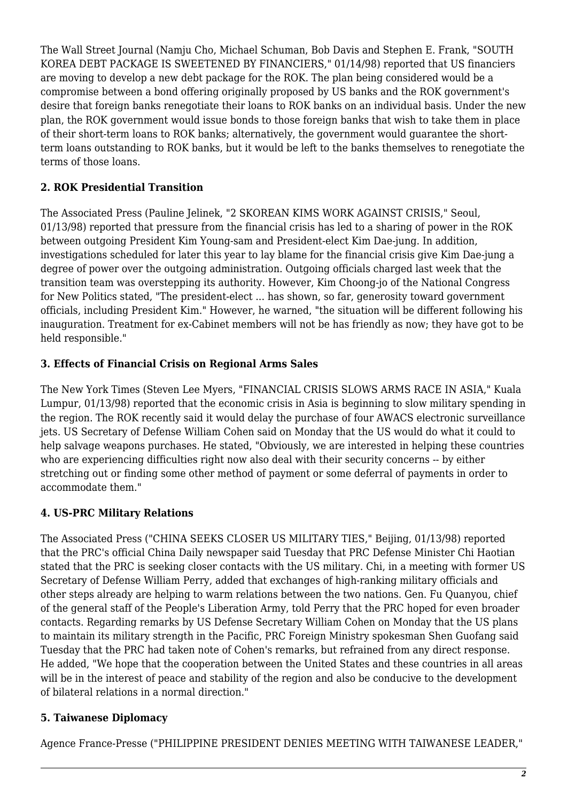The Wall Street Journal (Namju Cho, Michael Schuman, Bob Davis and Stephen E. Frank, "SOUTH KOREA DEBT PACKAGE IS SWEETENED BY FINANCIERS," 01/14/98) reported that US financiers are moving to develop a new debt package for the ROK. The plan being considered would be a compromise between a bond offering originally proposed by US banks and the ROK government's desire that foreign banks renegotiate their loans to ROK banks on an individual basis. Under the new plan, the ROK government would issue bonds to those foreign banks that wish to take them in place of their short-term loans to ROK banks; alternatively, the government would guarantee the shortterm loans outstanding to ROK banks, but it would be left to the banks themselves to renegotiate the terms of those loans.

# <span id="page-1-0"></span>**2. ROK Presidential Transition**

The Associated Press (Pauline Jelinek, "2 SKOREAN KIMS WORK AGAINST CRISIS," Seoul, 01/13/98) reported that pressure from the financial crisis has led to a sharing of power in the ROK between outgoing President Kim Young-sam and President-elect Kim Dae-jung. In addition, investigations scheduled for later this year to lay blame for the financial crisis give Kim Dae-jung a degree of power over the outgoing administration. Outgoing officials charged last week that the transition team was overstepping its authority. However, Kim Choong-jo of the National Congress for New Politics stated, "The president-elect ... has shown, so far, generosity toward government officials, including President Kim." However, he warned, "the situation will be different following his inauguration. Treatment for ex-Cabinet members will not be has friendly as now; they have got to be held responsible."

#### <span id="page-1-1"></span>**3. Effects of Financial Crisis on Regional Arms Sales**

The New York Times (Steven Lee Myers, "FINANCIAL CRISIS SLOWS ARMS RACE IN ASIA," Kuala Lumpur, 01/13/98) reported that the economic crisis in Asia is beginning to slow military spending in the region. The ROK recently said it would delay the purchase of four AWACS electronic surveillance jets. US Secretary of Defense William Cohen said on Monday that the US would do what it could to help salvage weapons purchases. He stated, "Obviously, we are interested in helping these countries who are experiencing difficulties right now also deal with their security concerns -- by either stretching out or finding some other method of payment or some deferral of payments in order to accommodate them."

# <span id="page-1-2"></span>**4. US-PRC Military Relations**

The Associated Press ("CHINA SEEKS CLOSER US MILITARY TIES," Beijing, 01/13/98) reported that the PRC's official China Daily newspaper said Tuesday that PRC Defense Minister Chi Haotian stated that the PRC is seeking closer contacts with the US military. Chi, in a meeting with former US Secretary of Defense William Perry, added that exchanges of high-ranking military officials and other steps already are helping to warm relations between the two nations. Gen. Fu Quanyou, chief of the general staff of the People's Liberation Army, told Perry that the PRC hoped for even broader contacts. Regarding remarks by US Defense Secretary William Cohen on Monday that the US plans to maintain its military strength in the Pacific, PRC Foreign Ministry spokesman Shen Guofang said Tuesday that the PRC had taken note of Cohen's remarks, but refrained from any direct response. He added, "We hope that the cooperation between the United States and these countries in all areas will be in the interest of peace and stability of the region and also be conducive to the development of bilateral relations in a normal direction."

# <span id="page-1-3"></span>**5. Taiwanese Diplomacy**

Agence France-Presse ("PHILIPPINE PRESIDENT DENIES MEETING WITH TAIWANESE LEADER,"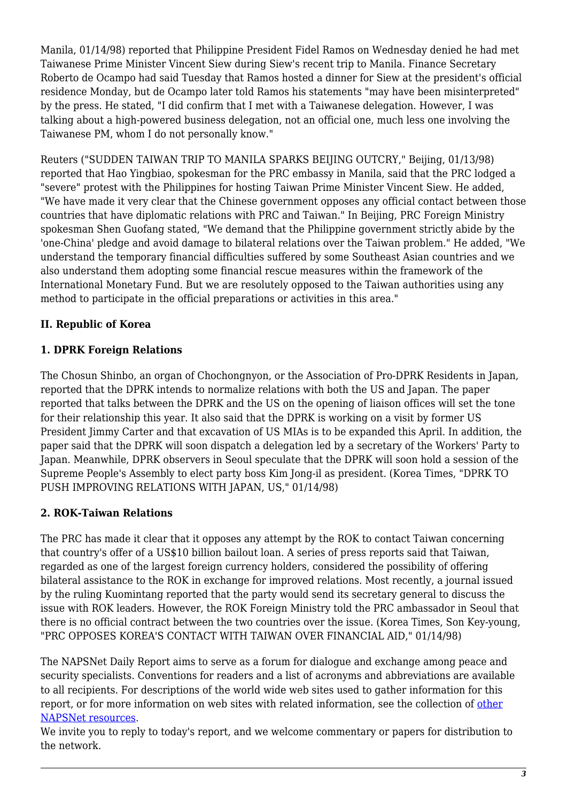Manila, 01/14/98) reported that Philippine President Fidel Ramos on Wednesday denied he had met Taiwanese Prime Minister Vincent Siew during Siew's recent trip to Manila. Finance Secretary Roberto de Ocampo had said Tuesday that Ramos hosted a dinner for Siew at the president's official residence Monday, but de Ocampo later told Ramos his statements "may have been misinterpreted" by the press. He stated, "I did confirm that I met with a Taiwanese delegation. However, I was talking about a high-powered business delegation, not an official one, much less one involving the Taiwanese PM, whom I do not personally know."

Reuters ("SUDDEN TAIWAN TRIP TO MANILA SPARKS BEIJING OUTCRY," Beijing, 01/13/98) reported that Hao Yingbiao, spokesman for the PRC embassy in Manila, said that the PRC lodged a "severe" protest with the Philippines for hosting Taiwan Prime Minister Vincent Siew. He added, "We have made it very clear that the Chinese government opposes any official contact between those countries that have diplomatic relations with PRC and Taiwan." In Beijing, PRC Foreign Ministry spokesman Shen Guofang stated, "We demand that the Philippine government strictly abide by the 'one-China' pledge and avoid damage to bilateral relations over the Taiwan problem." He added, "We understand the temporary financial difficulties suffered by some Southeast Asian countries and we also understand them adopting some financial rescue measures within the framework of the International Monetary Fund. But we are resolutely opposed to the Taiwan authorities using any method to participate in the official preparations or activities in this area."

# <span id="page-2-0"></span>**II. Republic of Korea**

# <span id="page-2-1"></span>**1. DPRK Foreign Relations**

The Chosun Shinbo, an organ of Chochongnyon, or the Association of Pro-DPRK Residents in Japan, reported that the DPRK intends to normalize relations with both the US and Japan. The paper reported that talks between the DPRK and the US on the opening of liaison offices will set the tone for their relationship this year. It also said that the DPRK is working on a visit by former US President Jimmy Carter and that excavation of US MIAs is to be expanded this April. In addition, the paper said that the DPRK will soon dispatch a delegation led by a secretary of the Workers' Party to Japan. Meanwhile, DPRK observers in Seoul speculate that the DPRK will soon hold a session of the Supreme People's Assembly to elect party boss Kim Jong-il as president. (Korea Times, "DPRK TO PUSH IMPROVING RELATIONS WITH JAPAN, US," 01/14/98)

# <span id="page-2-2"></span>**2. ROK-Taiwan Relations**

The PRC has made it clear that it opposes any attempt by the ROK to contact Taiwan concerning that country's offer of a US\$10 billion bailout loan. A series of press reports said that Taiwan, regarded as one of the largest foreign currency holders, considered the possibility of offering bilateral assistance to the ROK in exchange for improved relations. Most recently, a journal issued by the ruling Kuomintang reported that the party would send its secretary general to discuss the issue with ROK leaders. However, the ROK Foreign Ministry told the PRC ambassador in Seoul that there is no official contract between the two countries over the issue. (Korea Times, Son Key-young, "PRC OPPOSES KOREA'S CONTACT WITH TAIWAN OVER FINANCIAL AID," 01/14/98)

The NAPSNet Daily Report aims to serve as a forum for dialogue and exchange among peace and security specialists. Conventions for readers and a list of acronyms and abbreviations are available to all recipients. For descriptions of the world wide web sites used to gather information for this report, or for more information on web sites with related information, see the collection of [other](http://www.nautilus.org/napsnet/resources.html) [NAPSNet resources.](http://www.nautilus.org/napsnet/resources.html)

We invite you to reply to today's report, and we welcome commentary or papers for distribution to the network.